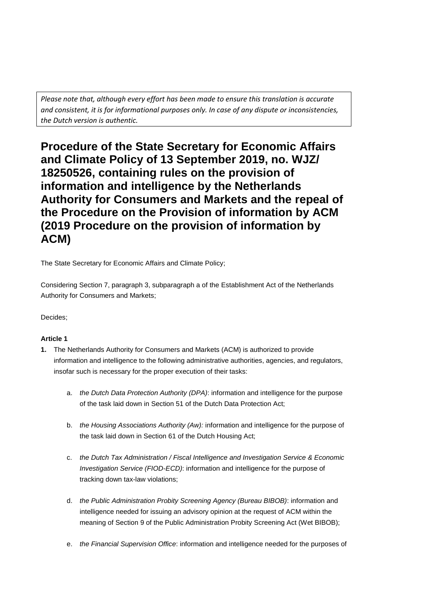*Please note that, although every effort has been made to ensure this translation is accurate and consistent, it is for informational purposes only. In case of any dispute or inconsistencies, the Dutch version is authentic.* 

**Procedure of the State Secretary for Economic Affairs and Climate Policy of 13 September 2019, no. WJZ/ 18250526, containing rules on the provision of information and intelligence by the Netherlands Authority for Consumers and Markets and the repeal of the Procedure on the Provision of information by ACM (2019 Procedure on the provision of information by ACM)** 

The State Secretary for Economic Affairs and Climate Policy;

Considering Section 7, paragraph 3, subparagraph a of the Establishment Act of the Netherlands Authority for Consumers and Markets;

# Decides;

## **Article 1**

- **1.** The Netherlands Authority for Consumers and Markets (ACM) is authorized to provide information and intelligence to the following administrative authorities, agencies, and regulators, insofar such is necessary for the proper execution of their tasks:
	- a. *the Dutch Data Protection Authority (DPA)*: information and intelligence for the purpose of the task laid down in Section 51 of the Dutch Data Protection Act;
	- b. *the Housing Associations Authority (Aw):* information and intelligence for the purpose of the task laid down in Section 61 of the Dutch Housing Act;
	- c. *the Dutch Tax Administration / Fiscal Intelligence and Investigation Service & Economic Investigation Service (FIOD-ECD)*: information and intelligence for the purpose of tracking down tax-law violations;
	- d. *the Public Administration Probity Screening Agency (Bureau BIBOB)*: information and intelligence needed for issuing an advisory opinion at the request of ACM within the meaning of Section 9 of the Public Administration Probity Screening Act (Wet BIBOB);
	- e. *the Financial Supervision Office*: information and intelligence needed for the purposes of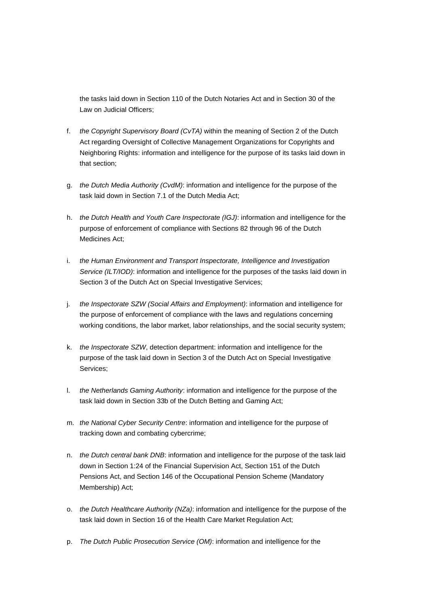the tasks laid down in Section 110 of the Dutch Notaries Act and in Section 30 of the Law on Judicial Officers;

- f. *the Copyright Supervisory Board (CvTA)* within the meaning of Section 2 of the Dutch Act regarding Oversight of Collective Management Organizations for Copyrights and Neighboring Rights: information and intelligence for the purpose of its tasks laid down in that section;
- g. *the Dutch Media Authority (CvdM)*: information and intelligence for the purpose of the task laid down in Section 7.1 of the Dutch Media Act;
- h. *the Dutch Health and Youth Care Inspectorate (IGJ)*: information and intelligence for the purpose of enforcement of compliance with Sections 82 through 96 of the Dutch Medicines Act;
- i. *the Human Environment and Transport Inspectorate, Intelligence and Investigation Service (ILT/IOD)*: information and intelligence for the purposes of the tasks laid down in Section 3 of the Dutch Act on Special Investigative Services;
- j. *the Inspectorate SZW (Social Affairs and Employment)*: information and intelligence for the purpose of enforcement of compliance with the laws and regulations concerning working conditions, the labor market, labor relationships, and the social security system;
- k. *the Inspectorate SZW*, detection department: information and intelligence for the purpose of the task laid down in Section 3 of the Dutch Act on Special Investigative Services;
- l. *the Netherlands Gaming Authority*: information and intelligence for the purpose of the task laid down in Section 33b of the Dutch Betting and Gaming Act;
- m. *the National Cyber Security Centre*: information and intelligence for the purpose of tracking down and combating cybercrime;
- n. *the Dutch central bank DNB*: information and intelligence for the purpose of the task laid down in Section 1:24 of the Financial Supervision Act, Section 151 of the Dutch Pensions Act, and Section 146 of the Occupational Pension Scheme (Mandatory Membership) Act;
- o. *the Dutch Healthcare Authority (NZa)*: information and intelligence for the purpose of the task laid down in Section 16 of the Health Care Market Regulation Act;
- p. *The Dutch Public Prosecution Service (OM)*: information and intelligence for the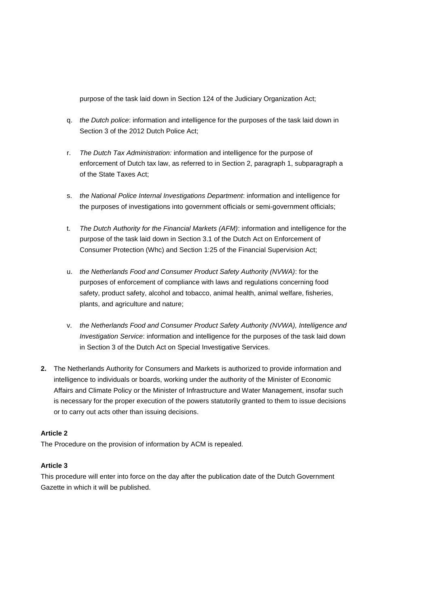purpose of the task laid down in Section 124 of the Judiciary Organization Act;

- q. *the Dutch police*: information and intelligence for the purposes of the task laid down in Section 3 of the 2012 Dutch Police Act;
- r. *The Dutch Tax Administration:* information and intelligence for the purpose of enforcement of Dutch tax law, as referred to in Section 2, paragraph 1, subparagraph a of the State Taxes Act;
- s. *the National Police Internal Investigations Department*: information and intelligence for the purposes of investigations into government officials or semi-government officials;
- t. *The Dutch Authority for the Financial Markets (AFM)*: information and intelligence for the purpose of the task laid down in Section 3.1 of the Dutch Act on Enforcement of Consumer Protection (Whc) and Section 1:25 of the Financial Supervision Act;
- u. *the Netherlands Food and Consumer Product Safety Authority (NVWA)*: for the purposes of enforcement of compliance with laws and regulations concerning food safety, product safety, alcohol and tobacco, animal health, animal welfare, fisheries, plants, and agriculture and nature;
- v. *the Netherlands Food and Consumer Product Safety Authority (NVWA), Intelligence and Investigation Service*: information and intelligence for the purposes of the task laid down in Section 3 of the Dutch Act on Special Investigative Services.
- **2.** The Netherlands Authority for Consumers and Markets is authorized to provide information and intelligence to individuals or boards, working under the authority of the Minister of Economic Affairs and Climate Policy or the Minister of Infrastructure and Water Management, insofar such is necessary for the proper execution of the powers statutorily granted to them to issue decisions or to carry out acts other than issuing decisions.

#### **Article 2**

The Procedure on the provision of information by ACM is repealed.

## **Article 3**

This procedure will enter into force on the day after the publication date of the Dutch Government Gazette in which it will be published.